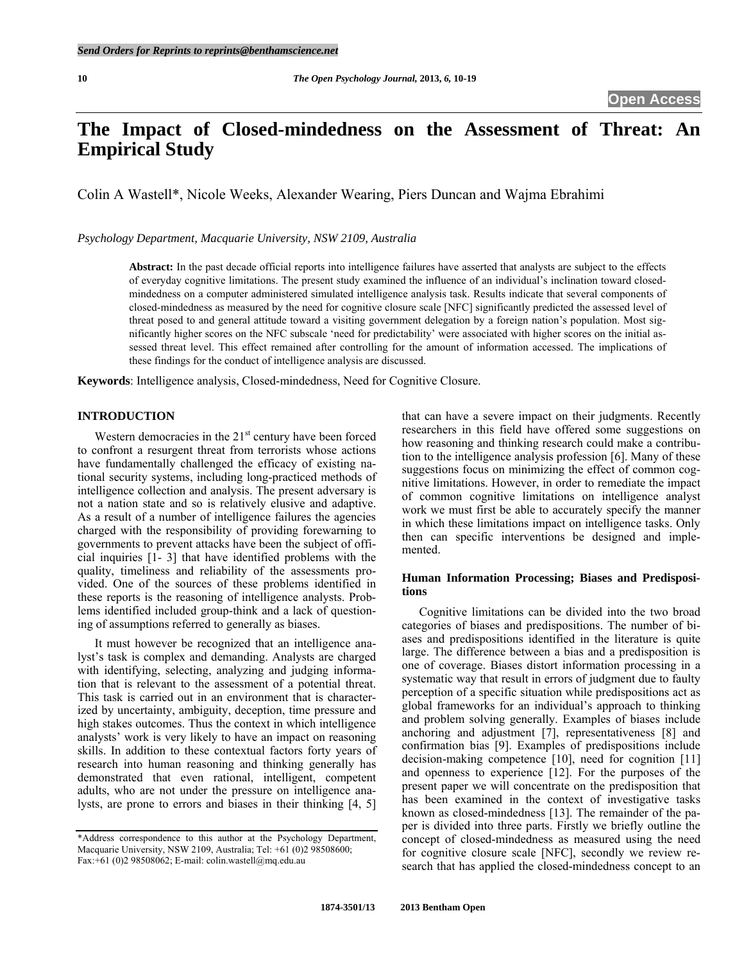# **The Impact of Closed-mindedness on the Assessment of Threat: An Empirical Study**

Colin A Wastell\*, Nicole Weeks, Alexander Wearing, Piers Duncan and Wajma Ebrahimi

*Psychology Department, Macquarie University, NSW 2109, Australia* 

**Abstract:** In the past decade official reports into intelligence failures have asserted that analysts are subject to the effects of everyday cognitive limitations. The present study examined the influence of an individual's inclination toward closedmindedness on a computer administered simulated intelligence analysis task. Results indicate that several components of closed-mindedness as measured by the need for cognitive closure scale [NFC] significantly predicted the assessed level of threat posed to and general attitude toward a visiting government delegation by a foreign nation's population. Most significantly higher scores on the NFC subscale 'need for predictability' were associated with higher scores on the initial assessed threat level. This effect remained after controlling for the amount of information accessed. The implications of these findings for the conduct of intelligence analysis are discussed.

**Keywords**: Intelligence analysis, Closed-mindedness, Need for Cognitive Closure.

# **INTRODUCTION**

Western democracies in the  $21<sup>st</sup>$  century have been forced to confront a resurgent threat from terrorists whose actions have fundamentally challenged the efficacy of existing national security systems, including long-practiced methods of intelligence collection and analysis. The present adversary is not a nation state and so is relatively elusive and adaptive. As a result of a number of intelligence failures the agencies charged with the responsibility of providing forewarning to governments to prevent attacks have been the subject of official inquiries [1- 3] that have identified problems with the quality, timeliness and reliability of the assessments provided. One of the sources of these problems identified in these reports is the reasoning of intelligence analysts. Problems identified included group-think and a lack of questioning of assumptions referred to generally as biases.

 It must however be recognized that an intelligence analyst's task is complex and demanding. Analysts are charged with identifying, selecting, analyzing and judging information that is relevant to the assessment of a potential threat. This task is carried out in an environment that is characterized by uncertainty, ambiguity, deception, time pressure and high stakes outcomes. Thus the context in which intelligence analysts' work is very likely to have an impact on reasoning skills. In addition to these contextual factors forty years of research into human reasoning and thinking generally has demonstrated that even rational, intelligent, competent adults, who are not under the pressure on intelligence analysts, are prone to errors and biases in their thinking [4, 5]

that can have a severe impact on their judgments. Recently researchers in this field have offered some suggestions on how reasoning and thinking research could make a contribution to the intelligence analysis profession [6]. Many of these suggestions focus on minimizing the effect of common cognitive limitations. However, in order to remediate the impact of common cognitive limitations on intelligence analyst work we must first be able to accurately specify the manner in which these limitations impact on intelligence tasks. Only then can specific interventions be designed and implemented.

# **Human Information Processing; Biases and Predispositions**

 Cognitive limitations can be divided into the two broad categories of biases and predispositions. The number of biases and predispositions identified in the literature is quite large. The difference between a bias and a predisposition is one of coverage. Biases distort information processing in a systematic way that result in errors of judgment due to faulty perception of a specific situation while predispositions act as global frameworks for an individual's approach to thinking and problem solving generally. Examples of biases include anchoring and adjustment [7], representativeness [8] and confirmation bias [9]. Examples of predispositions include decision-making competence [10], need for cognition [11] and openness to experience [12]. For the purposes of the present paper we will concentrate on the predisposition that has been examined in the context of investigative tasks known as closed-mindedness [13]. The remainder of the paper is divided into three parts. Firstly we briefly outline the concept of closed-mindedness as measured using the need for cognitive closure scale [NFC], secondly we review research that has applied the closed-mindedness concept to an

<sup>\*</sup>Address correspondence to this author at the Psychology Department, Macquarie University, NSW 2109, Australia; Tel: +61 (0)2 98508600; Fax:+61 (0)2 98508062; E-mail: colin.wastell@mq.edu.au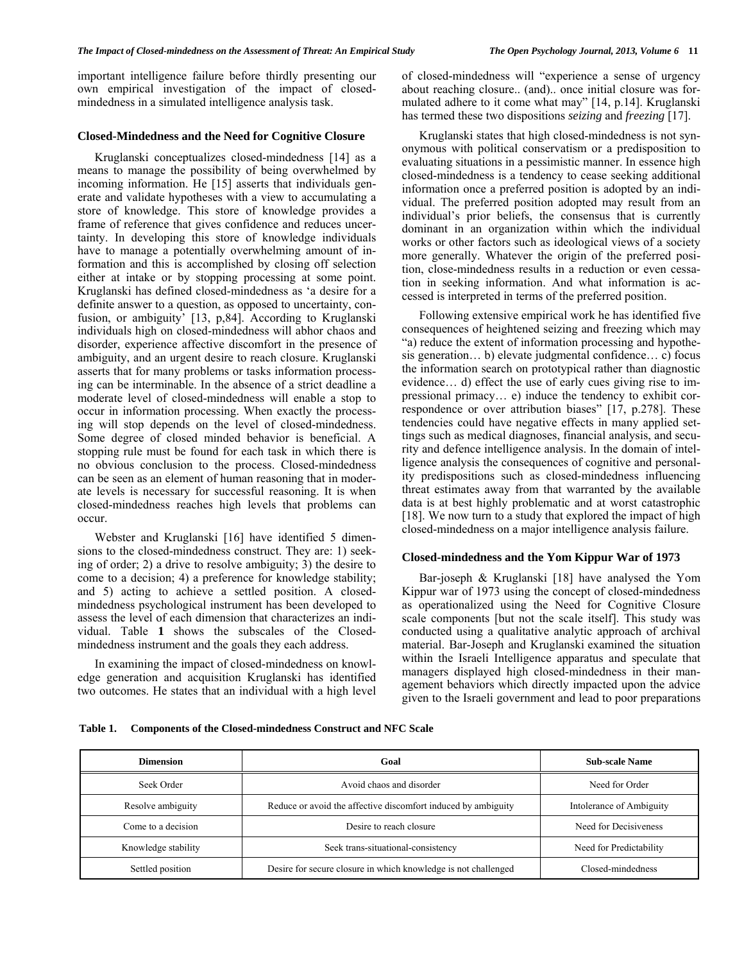important intelligence failure before thirdly presenting our own empirical investigation of the impact of closedmindedness in a simulated intelligence analysis task.

## **Closed-Mindedness and the Need for Cognitive Closure**

 Kruglanski conceptualizes closed-mindedness [14] as a means to manage the possibility of being overwhelmed by incoming information. He [15] asserts that individuals generate and validate hypotheses with a view to accumulating a store of knowledge. This store of knowledge provides a frame of reference that gives confidence and reduces uncertainty. In developing this store of knowledge individuals have to manage a potentially overwhelming amount of information and this is accomplished by closing off selection either at intake or by stopping processing at some point. Kruglanski has defined closed-mindedness as 'a desire for a definite answer to a question, as opposed to uncertainty, confusion, or ambiguity' [13, p,84]. According to Kruglanski individuals high on closed-mindedness will abhor chaos and disorder, experience affective discomfort in the presence of ambiguity, and an urgent desire to reach closure. Kruglanski asserts that for many problems or tasks information processing can be interminable. In the absence of a strict deadline a moderate level of closed-mindedness will enable a stop to occur in information processing. When exactly the processing will stop depends on the level of closed-mindedness. Some degree of closed minded behavior is beneficial. A stopping rule must be found for each task in which there is no obvious conclusion to the process. Closed-mindedness can be seen as an element of human reasoning that in moderate levels is necessary for successful reasoning. It is when closed-mindedness reaches high levels that problems can occur.

 Webster and Kruglanski [16] have identified 5 dimensions to the closed-mindedness construct. They are: 1) seeking of order; 2) a drive to resolve ambiguity; 3) the desire to come to a decision; 4) a preference for knowledge stability; and 5) acting to achieve a settled position. A closedmindedness psychological instrument has been developed to assess the level of each dimension that characterizes an individual. Table **1** shows the subscales of the Closedmindedness instrument and the goals they each address.

 In examining the impact of closed-mindedness on knowledge generation and acquisition Kruglanski has identified two outcomes. He states that an individual with a high level of closed-mindedness will "experience a sense of urgency about reaching closure.. (and).. once initial closure was formulated adhere to it come what may" [14, p.14]. Kruglanski has termed these two dispositions *seizing* and *freezing* [17].

 Kruglanski states that high closed-mindedness is not synonymous with political conservatism or a predisposition to evaluating situations in a pessimistic manner. In essence high closed-mindedness is a tendency to cease seeking additional information once a preferred position is adopted by an individual. The preferred position adopted may result from an individual's prior beliefs, the consensus that is currently dominant in an organization within which the individual works or other factors such as ideological views of a society more generally. Whatever the origin of the preferred position, close-mindedness results in a reduction or even cessation in seeking information. And what information is accessed is interpreted in terms of the preferred position.

 Following extensive empirical work he has identified five consequences of heightened seizing and freezing which may "a) reduce the extent of information processing and hypothesis generation… b) elevate judgmental confidence… c) focus the information search on prototypical rather than diagnostic evidence… d) effect the use of early cues giving rise to impressional primacy… e) induce the tendency to exhibit correspondence or over attribution biases" [17, p.278]. These tendencies could have negative effects in many applied settings such as medical diagnoses, financial analysis, and security and defence intelligence analysis. In the domain of intelligence analysis the consequences of cognitive and personality predispositions such as closed-mindedness influencing threat estimates away from that warranted by the available data is at best highly problematic and at worst catastrophic [18]. We now turn to a study that explored the impact of high closed-mindedness on a major intelligence analysis failure.

## **Closed-mindedness and the Yom Kippur War of 1973**

 Bar-joseph & Kruglanski [18] have analysed the Yom Kippur war of 1973 using the concept of closed-mindedness as operationalized using the Need for Cognitive Closure scale components [but not the scale itself]. This study was conducted using a qualitative analytic approach of archival material. Bar-Joseph and Kruglanski examined the situation within the Israeli Intelligence apparatus and speculate that managers displayed high closed-mindedness in their management behaviors which directly impacted upon the advice given to the Israeli government and lead to poor preparations

**Table 1. Components of the Closed-mindedness Construct and NFC Scale** 

| <b>Dimension</b>    | Goal                                                           | <b>Sub-scale Name</b>   |  |  |
|---------------------|----------------------------------------------------------------|-------------------------|--|--|
| Seek Order          | Avoid chaos and disorder                                       | Need for Order          |  |  |
| Resolve ambiguity   | Reduce or avoid the affective discomfort induced by ambiguity  |                         |  |  |
| Come to a decision  | Desire to reach closure                                        | Need for Decisiveness   |  |  |
| Knowledge stability | Seek trans-situational-consistency                             | Need for Predictability |  |  |
| Settled position    | Desire for secure closure in which knowledge is not challenged | Closed-mindedness       |  |  |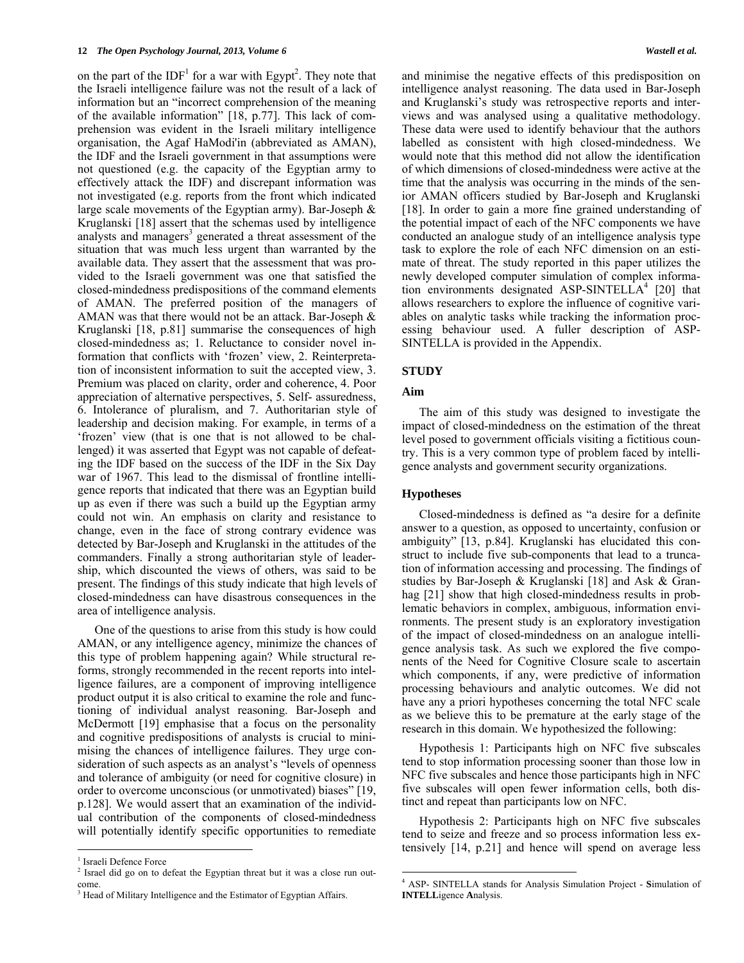on the part of the  $IDF<sup>1</sup>$  for a war with Egypt<sup>2</sup>. They note that the Israeli intelligence failure was not the result of a lack of information but an "incorrect comprehension of the meaning of the available information" [18, p.77]. This lack of comprehension was evident in the Israeli military intelligence organisation, the Agaf HaModi'in (abbreviated as AMAN), the IDF and the Israeli government in that assumptions were not questioned (e.g. the capacity of the Egyptian army to effectively attack the IDF) and discrepant information was not investigated (e.g. reports from the front which indicated large scale movements of the Egyptian army). Bar-Joseph & Kruglanski [18] assert that the schemas used by intelligence analysts and managers<sup>3</sup> generated a threat assessment of the situation that was much less urgent than warranted by the available data. They assert that the assessment that was provided to the Israeli government was one that satisfied the closed-mindedness predispositions of the command elements of AMAN. The preferred position of the managers of AMAN was that there would not be an attack. Bar-Joseph & Kruglanski [18, p.81] summarise the consequences of high closed-mindedness as; 1. Reluctance to consider novel information that conflicts with 'frozen' view, 2. Reinterpretation of inconsistent information to suit the accepted view, 3. Premium was placed on clarity, order and coherence, 4. Poor appreciation of alternative perspectives, 5. Self- assuredness, 6. Intolerance of pluralism, and 7. Authoritarian style of leadership and decision making. For example, in terms of a 'frozen' view (that is one that is not allowed to be challenged) it was asserted that Egypt was not capable of defeating the IDF based on the success of the IDF in the Six Day war of 1967. This lead to the dismissal of frontline intelligence reports that indicated that there was an Egyptian build up as even if there was such a build up the Egyptian army could not win. An emphasis on clarity and resistance to change, even in the face of strong contrary evidence was detected by Bar-Joseph and Kruglanski in the attitudes of the commanders. Finally a strong authoritarian style of leadership, which discounted the views of others, was said to be present. The findings of this study indicate that high levels of closed-mindedness can have disastrous consequences in the area of intelligence analysis.

 One of the questions to arise from this study is how could AMAN, or any intelligence agency, minimize the chances of this type of problem happening again? While structural reforms, strongly recommended in the recent reports into intelligence failures, are a component of improving intelligence product output it is also critical to examine the role and functioning of individual analyst reasoning. Bar-Joseph and McDermott [19] emphasise that a focus on the personality and cognitive predispositions of analysts is crucial to minimising the chances of intelligence failures. They urge consideration of such aspects as an analyst's "levels of openness and tolerance of ambiguity (or need for cognitive closure) in order to overcome unconscious (or unmotivated) biases" [19, p.128]. We would assert that an examination of the individual contribution of the components of closed-mindedness will potentially identify specific opportunities to remediate

and minimise the negative effects of this predisposition on intelligence analyst reasoning. The data used in Bar-Joseph and Kruglanski's study was retrospective reports and interviews and was analysed using a qualitative methodology. These data were used to identify behaviour that the authors labelled as consistent with high closed-mindedness. We would note that this method did not allow the identification of which dimensions of closed-mindedness were active at the time that the analysis was occurring in the minds of the senior AMAN officers studied by Bar-Joseph and Kruglanski [18]. In order to gain a more fine grained understanding of the potential impact of each of the NFC components we have conducted an analogue study of an intelligence analysis type task to explore the role of each NFC dimension on an estimate of threat. The study reported in this paper utilizes the newly developed computer simulation of complex information environments designated ASP-SINTELL $A^4$  [20] that allows researchers to explore the influence of cognitive variables on analytic tasks while tracking the information processing behaviour used. A fuller description of ASP-SINTELLA is provided in the Appendix.

# **STUDY**

# **Aim**

 The aim of this study was designed to investigate the impact of closed-mindedness on the estimation of the threat level posed to government officials visiting a fictitious country. This is a very common type of problem faced by intelligence analysts and government security organizations.

# **Hypotheses**

 Closed-mindedness is defined as "a desire for a definite answer to a question, as opposed to uncertainty, confusion or ambiguity" [13, p.84]. Kruglanski has elucidated this construct to include five sub-components that lead to a truncation of information accessing and processing. The findings of studies by Bar-Joseph & Kruglanski [18] and Ask & Granhag [21] show that high closed-mindedness results in problematic behaviors in complex, ambiguous, information environments. The present study is an exploratory investigation of the impact of closed-mindedness on an analogue intelligence analysis task. As such we explored the five components of the Need for Cognitive Closure scale to ascertain which components, if any, were predictive of information processing behaviours and analytic outcomes. We did not have any a priori hypotheses concerning the total NFC scale as we believe this to be premature at the early stage of the research in this domain. We hypothesized the following:

 Hypothesis 1: Participants high on NFC five subscales tend to stop information processing sooner than those low in NFC five subscales and hence those participants high in NFC five subscales will open fewer information cells, both distinct and repeat than participants low on NFC.

 Hypothesis 2: Participants high on NFC five subscales tend to seize and freeze and so process information less extensively [14, p.21] and hence will spend on average less

<sup>&</sup>lt;sup>1</sup> Israeli Defence Force

<sup>&</sup>lt;sup>2</sup> Israel did go on to defeat the Egyptian threat but it was a close run outcome.

<sup>&</sup>lt;sup>3</sup> Head of Military Intelligence and the Estimator of Egyptian Affairs.

<sup>4</sup> ASP- SINTELLA stands for Analysis Simulation Project - **S**imulation of **INTELL**igence **A**nalysis.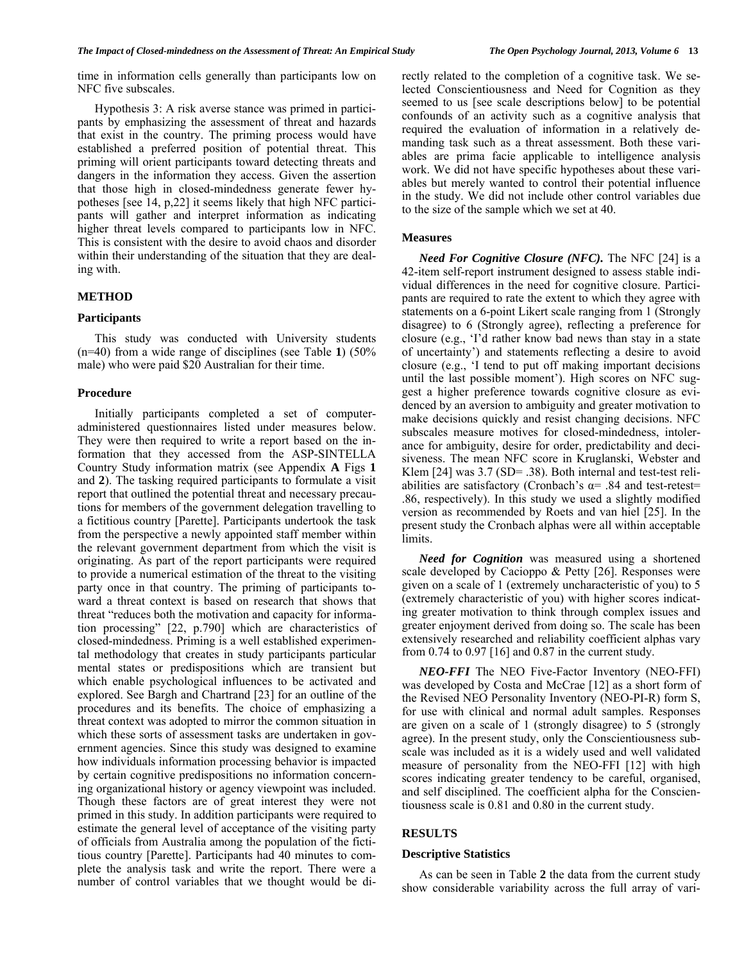time in information cells generally than participants low on NFC five subscales.

 Hypothesis 3: A risk averse stance was primed in participants by emphasizing the assessment of threat and hazards that exist in the country. The priming process would have established a preferred position of potential threat. This priming will orient participants toward detecting threats and dangers in the information they access. Given the assertion that those high in closed-mindedness generate fewer hypotheses [see 14, p,22] it seems likely that high NFC participants will gather and interpret information as indicating higher threat levels compared to participants low in NFC. This is consistent with the desire to avoid chaos and disorder within their understanding of the situation that they are dealing with.

### **METHOD**

## **Participants**

 This study was conducted with University students (n=40) from a wide range of disciplines (see Table **1**) (50% male) who were paid \$20 Australian for their time.

# **Procedure**

 Initially participants completed a set of computeradministered questionnaires listed under measures below. They were then required to write a report based on the information that they accessed from the ASP-SINTELLA Country Study information matrix (see Appendix **A** Figs **1** and **2**). The tasking required participants to formulate a visit report that outlined the potential threat and necessary precautions for members of the government delegation travelling to a fictitious country [Parette]. Participants undertook the task from the perspective a newly appointed staff member within the relevant government department from which the visit is originating. As part of the report participants were required to provide a numerical estimation of the threat to the visiting party once in that country. The priming of participants toward a threat context is based on research that shows that threat "reduces both the motivation and capacity for information processing" [22, p.790] which are characteristics of closed-mindedness. Priming is a well established experimental methodology that creates in study participants particular mental states or predispositions which are transient but which enable psychological influences to be activated and explored. See Bargh and Chartrand [23] for an outline of the procedures and its benefits. The choice of emphasizing a threat context was adopted to mirror the common situation in which these sorts of assessment tasks are undertaken in government agencies. Since this study was designed to examine how individuals information processing behavior is impacted by certain cognitive predispositions no information concerning organizational history or agency viewpoint was included. Though these factors are of great interest they were not primed in this study. In addition participants were required to estimate the general level of acceptance of the visiting party of officials from Australia among the population of the fictitious country [Parette]. Participants had 40 minutes to complete the analysis task and write the report. There were a number of control variables that we thought would be directly related to the completion of a cognitive task. We selected Conscientiousness and Need for Cognition as they seemed to us [see scale descriptions below] to be potential confounds of an activity such as a cognitive analysis that required the evaluation of information in a relatively demanding task such as a threat assessment. Both these variables are prima facie applicable to intelligence analysis work. We did not have specific hypotheses about these variables but merely wanted to control their potential influence in the study. We did not include other control variables due to the size of the sample which we set at 40.

#### **Measures**

 *Need For Cognitive Closure (NFC).* The NFC [24] is a 42-item self-report instrument designed to assess stable individual differences in the need for cognitive closure. Participants are required to rate the extent to which they agree with statements on a 6-point Likert scale ranging from 1 (Strongly disagree) to 6 (Strongly agree), reflecting a preference for closure (e.g., 'I'd rather know bad news than stay in a state of uncertainty') and statements reflecting a desire to avoid closure (e.g., 'I tend to put off making important decisions until the last possible moment'). High scores on NFC suggest a higher preference towards cognitive closure as evidenced by an aversion to ambiguity and greater motivation to make decisions quickly and resist changing decisions. NFC subscales measure motives for closed-mindedness, intolerance for ambiguity, desire for order, predictability and decisiveness. The mean NFC score in Kruglanski, Webster and Klem [24] was 3.7 (SD= .38). Both internal and test-test reliabilities are satisfactory (Cronbach's  $\alpha$ = .84 and test-retest= .86, respectively). In this study we used a slightly modified version as recommended by Roets and van hiel [25]. In the present study the Cronbach alphas were all within acceptable limits.

 *Need for Cognition* was measured using a shortened scale developed by Cacioppo & Petty [26]. Responses were given on a scale of 1 (extremely uncharacteristic of you) to 5 (extremely characteristic of you) with higher scores indicating greater motivation to think through complex issues and greater enjoyment derived from doing so. The scale has been extensively researched and reliability coefficient alphas vary from 0.74 to 0.97 [16] and 0.87 in the current study.

 *NEO-FFI* The NEO Five-Factor Inventory (NEO-FFI) was developed by Costa and McCrae [12] as a short form of the Revised NEO Personality Inventory (NEO-PI-R) form S, for use with clinical and normal adult samples. Responses are given on a scale of 1 (strongly disagree) to 5 (strongly agree). In the present study, only the Conscientiousness subscale was included as it is a widely used and well validated measure of personality from the NEO-FFI [12] with high scores indicating greater tendency to be careful, organised, and self disciplined. The coefficient alpha for the Conscientiousness scale is 0.81 and 0.80 in the current study.

# **RESULTS**

#### **Descriptive Statistics**

 As can be seen in Table **2** the data from the current study show considerable variability across the full array of vari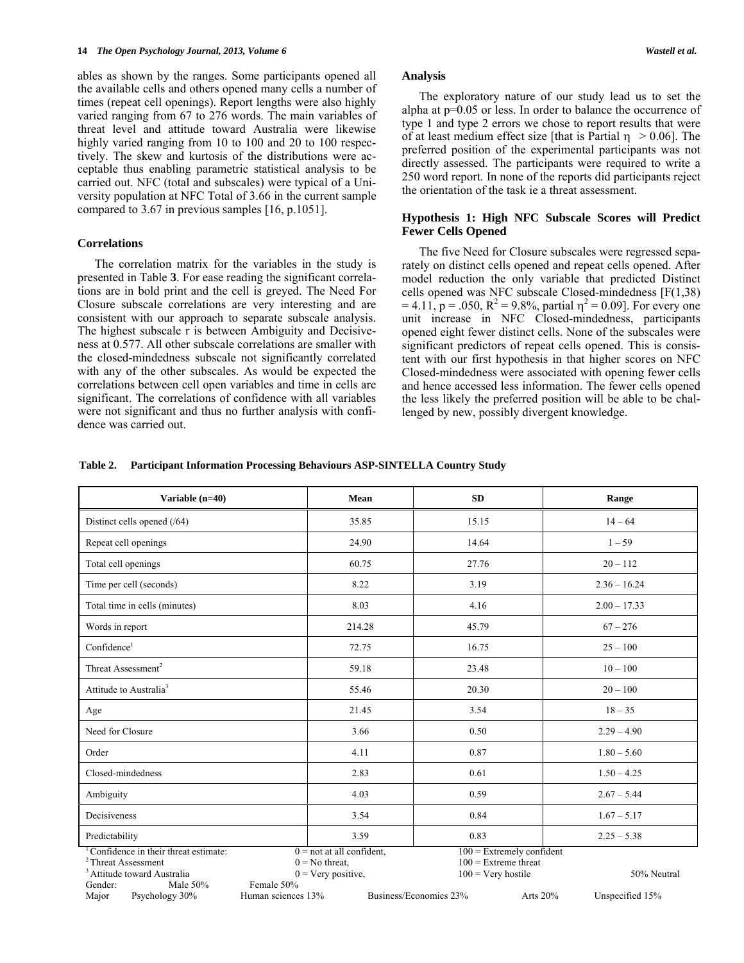ables as shown by the ranges. Some participants opened all the available cells and others opened many cells a number of times (repeat cell openings). Report lengths were also highly varied ranging from 67 to 276 words. The main variables of threat level and attitude toward Australia were likewise highly varied ranging from 10 to 100 and 20 to 100 respectively. The skew and kurtosis of the distributions were acceptable thus enabling parametric statistical analysis to be carried out. NFC (total and subscales) were typical of a University population at NFC Total of 3.66 in the current sample compared to 3.67 in previous samples [16, p.1051].

## **Correlations**

 The correlation matrix for the variables in the study is presented in Table **3**. For ease reading the significant correlations are in bold print and the cell is greyed. The Need For Closure subscale correlations are very interesting and are consistent with our approach to separate subscale analysis. The highest subscale r is between Ambiguity and Decisiveness at 0.577. All other subscale correlations are smaller with the closed-mindedness subscale not significantly correlated with any of the other subscales. As would be expected the correlations between cell open variables and time in cells are significant. The correlations of confidence with all variables were not significant and thus no further analysis with confidence was carried out.

# **Analysis**

 The exploratory nature of our study lead us to set the alpha at p=0.05 or less. In order to balance the occurrence of type 1 and type 2 errors we chose to report results that were of at least medium effect size [that is Partial  $\eta > 0.06$ ]. The preferred position of the experimental participants was not directly assessed. The participants were required to write a 250 word report. In none of the reports did participants reject the orientation of the task ie a threat assessment.

# **Hypothesis 1: High NFC Subscale Scores will Predict Fewer Cells Opened**

 The five Need for Closure subscales were regressed separately on distinct cells opened and repeat cells opened. After model reduction the only variable that predicted Distinct cells opened was NFC subscale Closed-mindedness [F(1,38)  $= 4.11$ , p = .050, R<sup>2</sup> = 9.8%, partial  $\eta^2 = 0.09$ ]. For every one unit increase in NFC Closed-mindedness, participants opened eight fewer distinct cells. None of the subscales were significant predictors of repeat cells opened. This is consistent with our first hypothesis in that higher scores on NFC Closed-mindedness were associated with opening fewer cells and hence accessed less information. The fewer cells opened the less likely the preferred position will be able to be challenged by new, possibly divergent knowledge.

#### **Table 2. Participant Information Processing Behaviours ASP-SINTELLA Country Study**

| Variable (n=40)                                                                                                                                                    | Mean                                                                                                               | <b>SD</b>                                                                                                                  | Range                          |  |  |
|--------------------------------------------------------------------------------------------------------------------------------------------------------------------|--------------------------------------------------------------------------------------------------------------------|----------------------------------------------------------------------------------------------------------------------------|--------------------------------|--|--|
| Distinct cells opened (/64)                                                                                                                                        | 35.85                                                                                                              | 15.15                                                                                                                      | $14 - 64$                      |  |  |
| Repeat cell openings                                                                                                                                               | 24.90                                                                                                              | 14.64                                                                                                                      | $1 - 59$                       |  |  |
| Total cell openings                                                                                                                                                | 60.75                                                                                                              | 27.76                                                                                                                      | $20 - 112$                     |  |  |
| Time per cell (seconds)                                                                                                                                            | 8.22                                                                                                               | 3.19                                                                                                                       | $2.36 - 16.24$                 |  |  |
| Total time in cells (minutes)                                                                                                                                      | 8.03                                                                                                               | 4.16                                                                                                                       | $2.00 - 17.33$                 |  |  |
| Words in report                                                                                                                                                    | 214.28                                                                                                             | 45.79<br>$67 - 276$                                                                                                        |                                |  |  |
| Confidence <sup>1</sup>                                                                                                                                            | 72.75                                                                                                              | 16.75                                                                                                                      | $25 - 100$                     |  |  |
| Threat Assessment <sup>2</sup>                                                                                                                                     | 59.18                                                                                                              | 23.48                                                                                                                      | $10 - 100$                     |  |  |
| Attitude to Australia <sup>3</sup>                                                                                                                                 | 55.46                                                                                                              | 20.30                                                                                                                      | $20 - 100$                     |  |  |
| Age                                                                                                                                                                | 21.45                                                                                                              | 3.54                                                                                                                       | $18 - 35$                      |  |  |
| Need for Closure                                                                                                                                                   | 3.66                                                                                                               | 0.50                                                                                                                       | $2.29 - 4.90$                  |  |  |
| Order                                                                                                                                                              | 4.11                                                                                                               | 0.87                                                                                                                       | $1.80 - 5.60$                  |  |  |
| Closed-mindedness                                                                                                                                                  | 2.83                                                                                                               | 0.61                                                                                                                       | $1.50 - 4.25$                  |  |  |
| Ambiguity                                                                                                                                                          | 4.03                                                                                                               | 0.59                                                                                                                       | $2.67 - 5.44$                  |  |  |
| Decisiveness                                                                                                                                                       | 3.54                                                                                                               | 0.84                                                                                                                       | $1.67 - 5.17$                  |  |  |
| Predictability                                                                                                                                                     | 3.59                                                                                                               | 0.83                                                                                                                       | $2.25 - 5.38$                  |  |  |
| Confidence in their threat estimate:<br><sup>2</sup> Threat Assessment<br><sup>3</sup> Attitude toward Australia<br>Male 50%<br>Gender:<br>Major<br>Psychology 30% | $0 =$ not at all confident,<br>$0 = No$ threat,<br>$0 = \text{Very positive},$<br>Female 50%<br>Human sciences 13% | $100$ = Extremely confident<br>$100$ = Extreme threat<br>$100 = \text{Very hostile}$<br>Business/Economics 23%<br>Arts 20% | 50% Neutral<br>Unspecified 15% |  |  |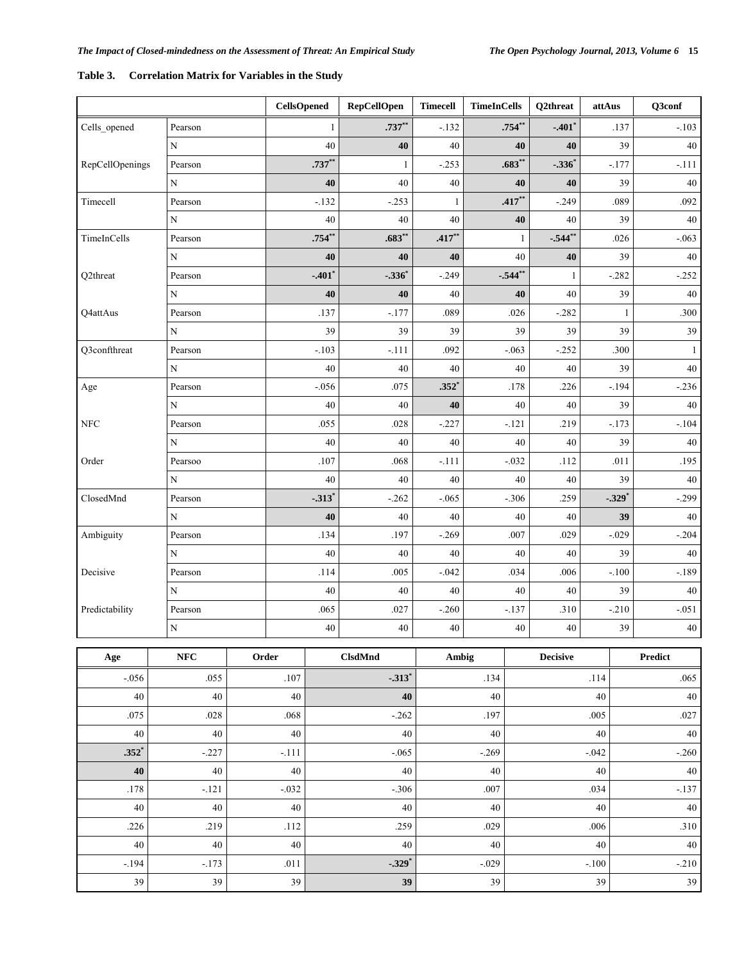|                 |             |       | <b>CellsOpened</b>   | <b>RepCellOpen</b>  | <b>Timecell</b> | <b>TimeInCells</b> |                 | Q2threat             | attAus               |              | Q3conf  |
|-----------------|-------------|-------|----------------------|---------------------|-----------------|--------------------|-----------------|----------------------|----------------------|--------------|---------|
| Cells_opened    | Pearson     |       | 1                    | $.737**$            | $-.132$         | $.754**$           |                 | $-.401$ <sup>*</sup> |                      | .137         | $-.103$ |
| $\mathbf N$     |             |       | 40                   | 40                  | 40              |                    | 40              | 40                   |                      | 39           | 40      |
| RepCellOpenings | Pearson     |       | $.737**$             | 1                   | $-.253$         | $.683**$           |                 | $-.336$              |                      | $-.177$      | $-.111$ |
|                 | ${\bf N}$   |       | 40                   | 40                  | 40              | 40                 |                 | 40                   |                      | 39           | $40\,$  |
| Timecell        | Pearson     |       | $-.132$              | $-.253$             | 1               |                    | $.417**$        | $-.249$              |                      | .089         | .092    |
|                 | ${\bf N}$   |       | 40                   | 40                  | 40              |                    | 40              | 40                   |                      | 39           | 40      |
| TimeInCells     | Pearson     |       | $.754**$             | $.683**$            | $.417***$       |                    | 1               | $-.544**$            |                      | .026         | $-.063$ |
|                 | N           |       | 40                   | 40                  | 40              |                    | 40              | 40                   |                      | 39           | 40      |
| Q2threat        | Pearson     |       | $-.401$ <sup>*</sup> | $-.336$             | $-.249$         |                    | $-.544**$       | $\mathbf{1}$         |                      | $-.282$      | $-.252$ |
|                 | ${\bf N}$   |       | 40                   | 40                  | 40              |                    | 40              | 40                   |                      | 39           | $40\,$  |
| Q4attAus        | Pearson     |       | .137                 | $-.177$             | .089            |                    | .026            | $-.282$              |                      | $\mathbf{1}$ | .300    |
|                 | N           |       | 39                   | 39                  | 39              |                    | 39              | 39                   |                      | 39           | 39      |
| Q3confthreat    | Pearson     |       | $-.103$              | $-.111$             | .092            |                    | $-.063$         | $-.252$              |                      | .300         | -1      |
|                 | ${\bf N}$   |       | 40                   | 40                  | 40              |                    | 40              | 40                   |                      | 39           | 40      |
| Age             | Pearson     |       | $-.056$              | .075                | $.352*$         |                    | .178            | .226                 |                      | $-.194$      | $-.236$ |
|                 | ${\bf N}$   |       | 40                   | 40                  | 40              |                    | 40              | 40                   |                      | 39           | 40      |
| ${\rm NFC}$     | Pearson     |       | .055                 | .028                | $-.227$         |                    | $-.121$         | .219                 |                      | $-.173$      | $-.104$ |
|                 | $\mathbf N$ |       | 40                   | 40                  | 40              |                    | 40              | 40                   | 39                   |              | 40      |
| Order           | Pearsoo     |       | .107                 | .068                | $-.111$         | $-.032$            |                 | .112                 | .011                 |              | .195    |
|                 | $\mathbf N$ |       | 40                   | 40                  | 40              | 40                 |                 | 40                   | 39                   |              | 40      |
| ClosedMnd       | Pearson     |       | $-.313$ <sup>*</sup> | $-.262$             | $-.065$         | $-.306$            |                 | .259                 | $-.329$ <sup>*</sup> |              | $-.299$ |
|                 | ${\bf N}$   |       | 40                   | 40                  | 40              |                    | 40              | 40                   |                      | 39           | 40      |
| Ambiguity       | Pearson     |       | .134                 | .197                | $-.269$         |                    | $.007$<br>.029  |                      |                      | $-.029$      | $-.204$ |
|                 | N           |       | 40                   | 40                  | 40              |                    | 40<br>40        |                      |                      | 39           | 40      |
| Decisive        | Pearson     |       | .114                 | .005                | $-.042$         |                    | .034<br>.006    |                      |                      | $-.100$      | $-189$  |
|                 | N           |       | 40                   | 40                  | 40              |                    | 40<br>40        |                      |                      | 39           | 40      |
| Predictability  | Pearson     |       | .065                 | .027                | $-.260$         |                    | $-.137$         | .310                 |                      | $-.210$      | $-.051$ |
|                 | $\mathbf N$ |       | 40                   | $40\,$              | $40\,$          |                    | 40              |                      |                      | 39           | 40      |
| Age             | ${\bf NFC}$ | Order |                      | <b>ClsdMnd</b>      | Ambig           |                    | <b>Decisive</b> |                      |                      |              | Predict |
| $-.056$         | .055        |       | .107                 | $-313$ <sup>*</sup> |                 | .134               |                 |                      | .065<br>.114         |              |         |
| 40              | $40\,$      |       | 40                   | 40                  | 40              |                    |                 |                      | $40\,$               | $40\,$       |         |
| .075            | .028        |       | .068                 | $-0.262$            | .197            |                    | .005            |                      |                      | .027         |         |
| 40              | $40\,$      |       | $40\,$               | 40                  |                 | 40                 |                 | 40                   |                      | 40           |         |
| $.352*$         | $-.227$     |       | $-.111$              | $-.065$             | $-.269$         |                    | $-.042$         |                      |                      | $-.260$      |         |
| 40              | 40          |       | $40\,$               | $40\,$              | 40              |                    |                 |                      | 40                   |              | 40      |
| .178            | $-.121$     |       | $-.032$              | $-.306$             | .007            |                    |                 |                      | .034                 |              | $-.137$ |
| 40              | 40          |       | $40\,$               | $40\,$              | 40              |                    | 40              |                      |                      |              | 40      |
| .226            | .219        |       | .112                 | .259                | .029            |                    | $.006\,$        |                      |                      |              | .310    |
| $40\,$          | $40\,$      |       | $40\,$               | $40\,$              |                 | $40\,$             |                 | $40\,$               |                      |              | $40\,$  |

-.194 -.173 .011 -.329<sup>\*</sup> -.029 -.029 -.100 -.210 39 39 39 **39** 39 39 39

# **Table 3. Correlation Matrix for Variables in the Study**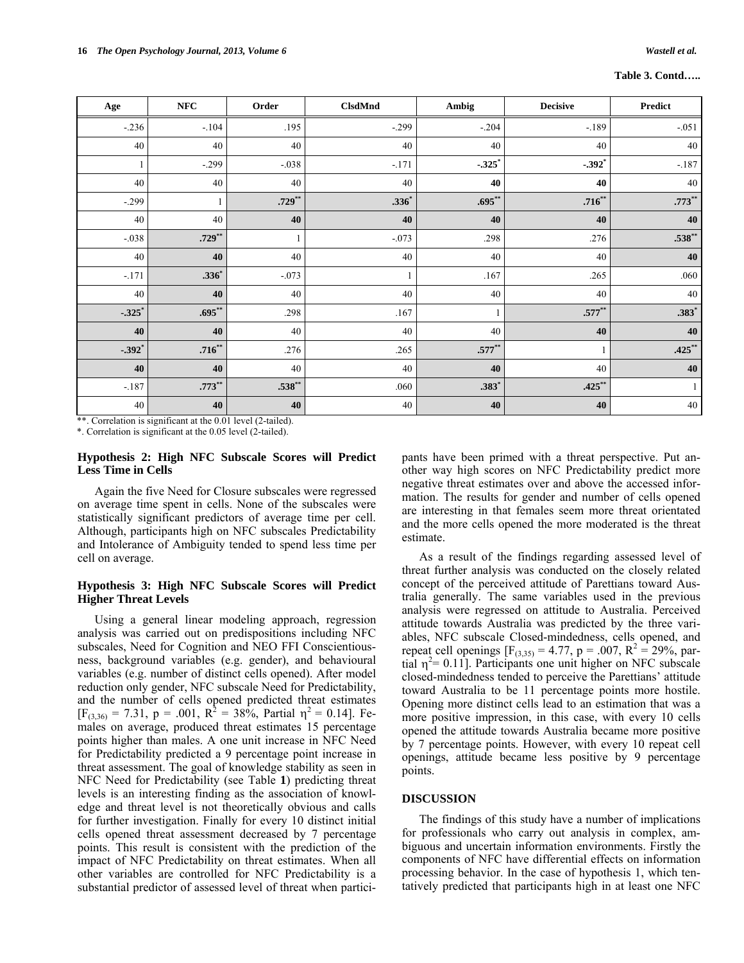#### **Table 3. Contd…..**

| Age       | NFC       | Order     | <b>ClsdMnd</b> | Ambig        | <b>Decisive</b>      | Predict   |
|-----------|-----------|-----------|----------------|--------------|----------------------|-----------|
| $-.236$   | $-.104$   | .195      | $-.299$        | $-.204$      | $-189$               | $-.051$   |
| 40        | 40        | 40        | 40             | 40           | 40                   | 40        |
| -1        | $-0.299$  | $-.038$   | $-.171$        | $-.325$      | $-.392$ <sup>*</sup> | $-.187$   |
| 40        | 40        | 40        | 40             | 40           | 40                   | 40        |
| $-.299$   |           | $.729***$ | $.336*$        | $.695***$    | $.716**$             | $.773**$  |
| 40        | 40        | 40        | 40             | 40           | 40                   | 40        |
| $-.038$   | $.729***$ | 1         | $-.073$        | .298         | .276                 | $.538**$  |
| 40        | 40        | 40        | 40             | 40           | 40                   | 40        |
| $-.171$   | $.336*$   | $-.073$   |                | .167         | .265                 | .060      |
| 40        | 40        | 40        | $40\,$         | 40           | 40                   | 40        |
| $-.325$ * | $.695***$ | .298      | .167           | $\mathbf{1}$ | $.577**$             | $.383*$   |
| 40        | 40        | 40        | 40             | 40           | 40                   | 40        |
| $-.392$ * | $.716***$ | .276      | .265           | $.577***$    |                      | $.425***$ |
| 40        | 40        | 40        | 40             | 40           | 40                   | 40        |
| $-.187$   | $.773**$  | $.538**$  | .060           | $.383*$      | $.425***$            | 1         |
| $40\,$    | 40        | 40        | 40             | ${\bf 40}$   | 40                   | $40\,$    |

\*\*. Correlation is significant at the 0.01 level (2-tailed).

\*. Correlation is significant at the 0.05 level (2-tailed).

## **Hypothesis 2: High NFC Subscale Scores will Predict Less Time in Cells**

 Again the five Need for Closure subscales were regressed on average time spent in cells. None of the subscales were statistically significant predictors of average time per cell. Although, participants high on NFC subscales Predictability and Intolerance of Ambiguity tended to spend less time per cell on average.

# **Hypothesis 3: High NFC Subscale Scores will Predict Higher Threat Levels**

 Using a general linear modeling approach, regression analysis was carried out on predispositions including NFC subscales, Need for Cognition and NEO FFI Conscientiousness, background variables (e.g. gender), and behavioural variables (e.g. number of distinct cells opened). After model reduction only gender, NFC subscale Need for Predictability, and the number of cells opened predicted threat estimates  $[F_{(3,36)} = 7.31, p = .001, R^2 = 38\%, \text{ Partial } \eta^2 = 0.14].$  Females on average, produced threat estimates 15 percentage points higher than males. A one unit increase in NFC Need for Predictability predicted a 9 percentage point increase in threat assessment. The goal of knowledge stability as seen in NFC Need for Predictability (see Table **1**) predicting threat levels is an interesting finding as the association of knowledge and threat level is not theoretically obvious and calls for further investigation. Finally for every 10 distinct initial cells opened threat assessment decreased by 7 percentage points. This result is consistent with the prediction of the impact of NFC Predictability on threat estimates. When all other variables are controlled for NFC Predictability is a substantial predictor of assessed level of threat when participants have been primed with a threat perspective. Put another way high scores on NFC Predictability predict more negative threat estimates over and above the accessed information. The results for gender and number of cells opened are interesting in that females seem more threat orientated and the more cells opened the more moderated is the threat estimate.

 As a result of the findings regarding assessed level of threat further analysis was conducted on the closely related concept of the perceived attitude of Parettians toward Australia generally. The same variables used in the previous analysis were regressed on attitude to Australia. Perceived attitude towards Australia was predicted by the three variables, NFC subscale Closed-mindedness, cells opened, and repeat cell openings  $[F_{(3,35)} = 4.77, p = .007, R^2 = 29\%, par$ tial  $\eta^2$  = 0.11]. Participants one unit higher on NFC subscale closed-mindedness tended to perceive the Parettians' attitude toward Australia to be 11 percentage points more hostile. Opening more distinct cells lead to an estimation that was a more positive impression, in this case, with every 10 cells opened the attitude towards Australia became more positive by 7 percentage points. However, with every 10 repeat cell openings, attitude became less positive by 9 percentage points.

# **DISCUSSION**

 The findings of this study have a number of implications for professionals who carry out analysis in complex, ambiguous and uncertain information environments. Firstly the components of NFC have differential effects on information processing behavior. In the case of hypothesis 1, which tentatively predicted that participants high in at least one NFC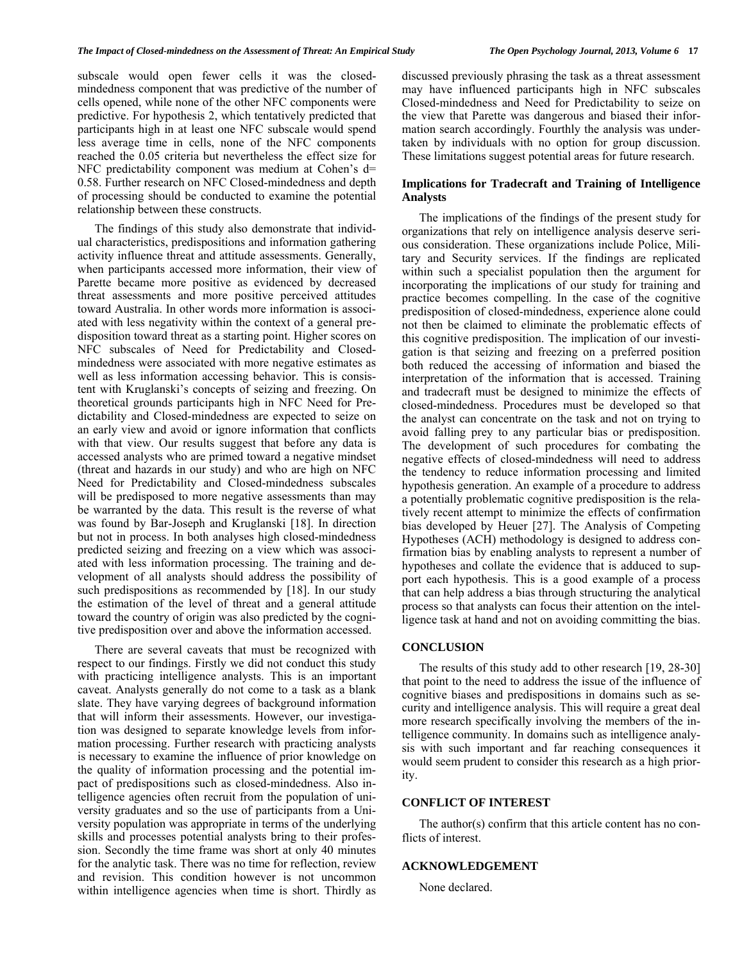subscale would open fewer cells it was the closedmindedness component that was predictive of the number of cells opened, while none of the other NFC components were predictive. For hypothesis 2, which tentatively predicted that participants high in at least one NFC subscale would spend less average time in cells, none of the NFC components reached the 0.05 criteria but nevertheless the effect size for NFC predictability component was medium at Cohen's d= 0.58. Further research on NFC Closed-mindedness and depth of processing should be conducted to examine the potential relationship between these constructs.

 The findings of this study also demonstrate that individual characteristics, predispositions and information gathering activity influence threat and attitude assessments. Generally, when participants accessed more information, their view of Parette became more positive as evidenced by decreased threat assessments and more positive perceived attitudes toward Australia. In other words more information is associated with less negativity within the context of a general predisposition toward threat as a starting point. Higher scores on NFC subscales of Need for Predictability and Closedmindedness were associated with more negative estimates as well as less information accessing behavior. This is consistent with Kruglanski's concepts of seizing and freezing. On theoretical grounds participants high in NFC Need for Predictability and Closed-mindedness are expected to seize on an early view and avoid or ignore information that conflicts with that view. Our results suggest that before any data is accessed analysts who are primed toward a negative mindset (threat and hazards in our study) and who are high on NFC Need for Predictability and Closed-mindedness subscales will be predisposed to more negative assessments than may be warranted by the data. This result is the reverse of what was found by Bar-Joseph and Kruglanski [18]. In direction but not in process. In both analyses high closed-mindedness predicted seizing and freezing on a view which was associated with less information processing. The training and development of all analysts should address the possibility of such predispositions as recommended by [18]. In our study the estimation of the level of threat and a general attitude toward the country of origin was also predicted by the cognitive predisposition over and above the information accessed.

 There are several caveats that must be recognized with respect to our findings. Firstly we did not conduct this study with practicing intelligence analysts. This is an important caveat. Analysts generally do not come to a task as a blank slate. They have varying degrees of background information that will inform their assessments. However, our investigation was designed to separate knowledge levels from information processing. Further research with practicing analysts is necessary to examine the influence of prior knowledge on the quality of information processing and the potential impact of predispositions such as closed-mindedness. Also intelligence agencies often recruit from the population of university graduates and so the use of participants from a University population was appropriate in terms of the underlying skills and processes potential analysts bring to their profession. Secondly the time frame was short at only 40 minutes for the analytic task. There was no time for reflection, review and revision. This condition however is not uncommon within intelligence agencies when time is short. Thirdly as

discussed previously phrasing the task as a threat assessment may have influenced participants high in NFC subscales Closed-mindedness and Need for Predictability to seize on the view that Parette was dangerous and biased their information search accordingly. Fourthly the analysis was undertaken by individuals with no option for group discussion. These limitations suggest potential areas for future research.

# **Implications for Tradecraft and Training of Intelligence Analysts**

 The implications of the findings of the present study for organizations that rely on intelligence analysis deserve serious consideration. These organizations include Police, Military and Security services. If the findings are replicated within such a specialist population then the argument for incorporating the implications of our study for training and practice becomes compelling. In the case of the cognitive predisposition of closed-mindedness, experience alone could not then be claimed to eliminate the problematic effects of this cognitive predisposition. The implication of our investigation is that seizing and freezing on a preferred position both reduced the accessing of information and biased the interpretation of the information that is accessed. Training and tradecraft must be designed to minimize the effects of closed-mindedness. Procedures must be developed so that the analyst can concentrate on the task and not on trying to avoid falling prey to any particular bias or predisposition. The development of such procedures for combating the negative effects of closed-mindedness will need to address the tendency to reduce information processing and limited hypothesis generation. An example of a procedure to address a potentially problematic cognitive predisposition is the relatively recent attempt to minimize the effects of confirmation bias developed by Heuer [27]. The Analysis of Competing Hypotheses (ACH) methodology is designed to address confirmation bias by enabling analysts to represent a number of hypotheses and collate the evidence that is adduced to support each hypothesis. This is a good example of a process that can help address a bias through structuring the analytical process so that analysts can focus their attention on the intelligence task at hand and not on avoiding committing the bias.

## **CONCLUSION**

 The results of this study add to other research [19, 28-30] that point to the need to address the issue of the influence of cognitive biases and predispositions in domains such as security and intelligence analysis. This will require a great deal more research specifically involving the members of the intelligence community. In domains such as intelligence analysis with such important and far reaching consequences it would seem prudent to consider this research as a high priority.

# **CONFLICT OF INTEREST**

 The author(s) confirm that this article content has no conflicts of interest.

# **ACKNOWLEDGEMENT**

None declared.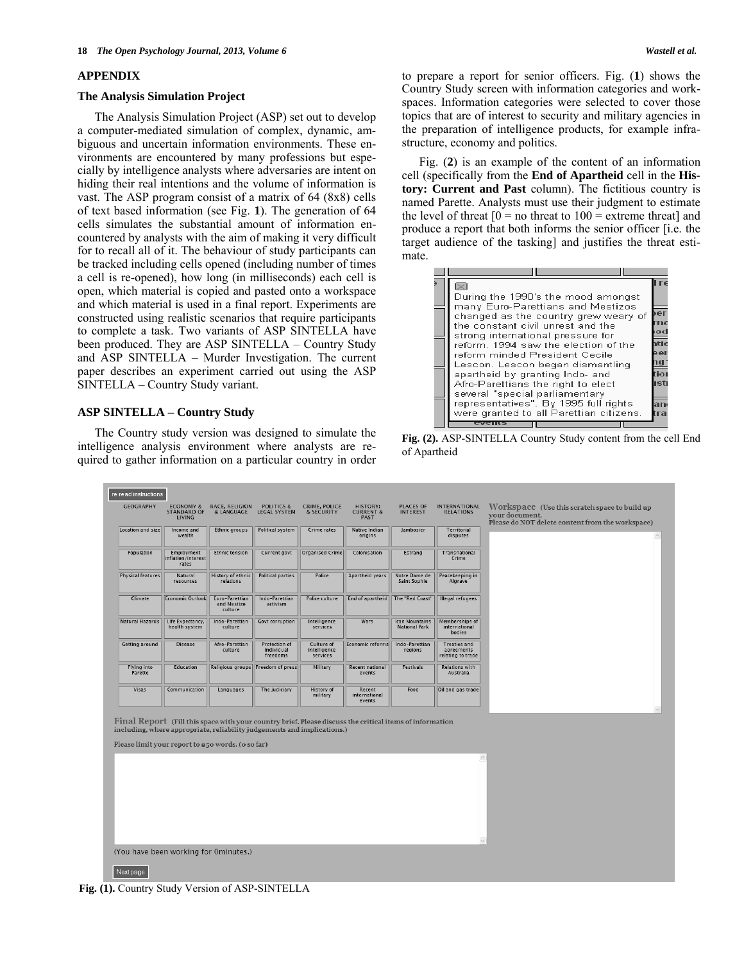# **APPENDIX**

#### **The Analysis Simulation Project**

 The Analysis Simulation Project (ASP) set out to develop a computer-mediated simulation of complex, dynamic, ambiguous and uncertain information environments. These environments are encountered by many professions but especially by intelligence analysts where adversaries are intent on hiding their real intentions and the volume of information is vast. The ASP program consist of a matrix of 64 (8x8) cells of text based information (see Fig. **1**). The generation of 64 cells simulates the substantial amount of information encountered by analysts with the aim of making it very difficult for to recall all of it. The behaviour of study participants can be tracked including cells opened (including number of times a cell is re-opened), how long (in milliseconds) each cell is open, which material is copied and pasted onto a workspace and which material is used in a final report. Experiments are constructed using realistic scenarios that require participants to complete a task. Two variants of ASP SINTELLA have been produced. They are ASP SINTELLA – Country Study and ASP SINTELLA – Murder Investigation. The current paper describes an experiment carried out using the ASP SINTELLA – Country Study variant.

# **ASP SINTELLA – Country Study**

 The Country study version was designed to simulate the intelligence analysis environment where analysts are required to gather information on a particular country in order to prepare a report for senior officers. Fig. (**1**) shows the Country Study screen with information categories and workspaces. Information categories were selected to cover those topics that are of interest to security and military agencies in the preparation of intelligence products, for example infrastructure, economy and politics.

 Fig. (**2**) is an example of the content of an information cell (specifically from the **End of Apartheid** cell in the **History: Current and Past** column). The fictitious country is named Parette. Analysts must use their judgment to estimate the level of threat  $[0 = no$  threat to  $100 =$  extreme threat] and produce a report that both informs the senior officer [i.e. the target audience of the tasking] and justifies the threat estimate.

| During the 1990's the mood amongst<br>many Euro-Parettians and Mestizos<br>changed as the country grew weary of<br>the constant civil unrest and the | eı        |
|------------------------------------------------------------------------------------------------------------------------------------------------------|-----------|
| strong international pressure for                                                                                                                    |           |
| reform. 1994 saw the election of the<br>reform minded President Cecile                                                                               | el        |
| Lescon. Lescon began dismantling                                                                                                                     | io        |
| apartheid by granting Indo- and<br>Afro-Parettians the right to elect<br>several "special parliamentary                                              | <b>st</b> |
| representatives". By 1995 full rights<br>were granted to all Parettian citizens.                                                                     |           |
|                                                                                                                                                      |           |

**Fig. (2).** ASP-SINTELLA Country Study content from the cell End of Apartheid

| re-read instructions          |                                                             |                                                                                                                              |                                                |                                        |                                                                                                         |                                               |                                                        |                                                                                                                     |
|-------------------------------|-------------------------------------------------------------|------------------------------------------------------------------------------------------------------------------------------|------------------------------------------------|----------------------------------------|---------------------------------------------------------------------------------------------------------|-----------------------------------------------|--------------------------------------------------------|---------------------------------------------------------------------------------------------------------------------|
| GEOGRAPHY                     | <b>ECONOMY &amp;</b><br><b>STANDARD OF</b><br><b>LIVING</b> | RACE, RELIGION<br>& LANGUAGE                                                                                                 | <b>POLITICS &amp;</b><br><b>LEGAL SYSTEM</b>   | CRIME, POLICE<br>& SECURITY            | <b>HISTORY:</b><br><b>CURRENT &amp;</b><br>PAST                                                         | <b>PLACES OF</b><br><b>INTEREST</b>           | <b>INTERNATIONAL</b><br><b>RELATIONS</b>               | Workspace (Use this scratch space to build up<br>vour document.<br>Please do NOT delete content from the workspace) |
| Location and size             | Income and<br>wealth                                        | <b>Ethnic groups</b>                                                                                                         | <b>Political system</b>                        | Crime rates                            | Native Indian<br>origins                                                                                | Jambosier                                     | <b>Territorial</b><br>disputes                         |                                                                                                                     |
| Population                    | Employment<br>inflation/interest<br>rates                   | <b>Ethnic tension</b>                                                                                                        | Current govt                                   | Organised Crime                        | Colonisation                                                                                            | Estrang                                       | Transnational<br>Crime                                 |                                                                                                                     |
| Physical features             | Natural<br>resources                                        | History of ethnic<br>relations                                                                                               | <b>Political parties</b>                       | Police                                 | Apartheid years                                                                                         | Notre Dame de<br>Saint Sophie                 | Peacekeeping in<br>Algrave                             |                                                                                                                     |
| Climate                       | <b>Economic Outlook</b>                                     | Euro-Parettian<br>and Mestizo<br>culture                                                                                     | Indo-Parettian<br>activism                     | Police culture                         | End of apartheid                                                                                        | The "Red Coast"                               | Illegal refugees                                       |                                                                                                                     |
| Natural Hazards               | Life Expectancy,<br>health system                           | Indo-Parettian<br>culture                                                                                                    | <b>Govt corruption</b>                         | Intelligence<br>services               | Wars                                                                                                    | <b>Ican Mountains</b><br><b>National Park</b> | Memberships of<br>international<br><b>bodies</b>       |                                                                                                                     |
| <b>Getting around</b>         | <b>Disease</b>                                              | Afro-Parettian<br>culture                                                                                                    | <b>Protection of</b><br>individual<br>freedoms | Culture of<br>intelligence<br>services | Economic reforms                                                                                        | Indo-Parettian<br>regions                     | <b>Treaties and</b><br>agreements<br>relating to trade |                                                                                                                     |
| <b>Flying into</b><br>Parette | Education                                                   |                                                                                                                              | Religious groups Freedom of press              | Military                               | <b>Recent national</b><br>events                                                                        | Festivals                                     | <b>Relations with</b><br>Australia                     |                                                                                                                     |
| Visas                         | Communication                                               | Languages                                                                                                                    | The judiciary                                  | History of<br>military                 | Recent<br>international<br>events                                                                       | Food                                          | Oil and gas trade                                      |                                                                                                                     |
|                               |                                                             | including, where appropriate, reliability judgements and implications.)<br>Please limit your report to 250 words. (o so far) |                                                |                                        | Final Report (Fill this space with your country brief. Please discuss the critical items of information |                                               |                                                        |                                                                                                                     |
|                               |                                                             |                                                                                                                              |                                                |                                        |                                                                                                         |                                               | $\wedge$                                               |                                                                                                                     |
|                               |                                                             |                                                                                                                              |                                                |                                        |                                                                                                         |                                               |                                                        |                                                                                                                     |
|                               |                                                             |                                                                                                                              |                                                |                                        |                                                                                                         |                                               |                                                        |                                                                                                                     |
|                               |                                                             |                                                                                                                              |                                                |                                        |                                                                                                         |                                               | $\checkmark$                                           |                                                                                                                     |
|                               | (You have been working for Ominutes.)                       |                                                                                                                              |                                                |                                        |                                                                                                         |                                               |                                                        |                                                                                                                     |
| Next page                     |                                                             |                                                                                                                              |                                                |                                        |                                                                                                         |                                               |                                                        |                                                                                                                     |

**Fig. (1).** Country Study Version of ASP-SINTELLA